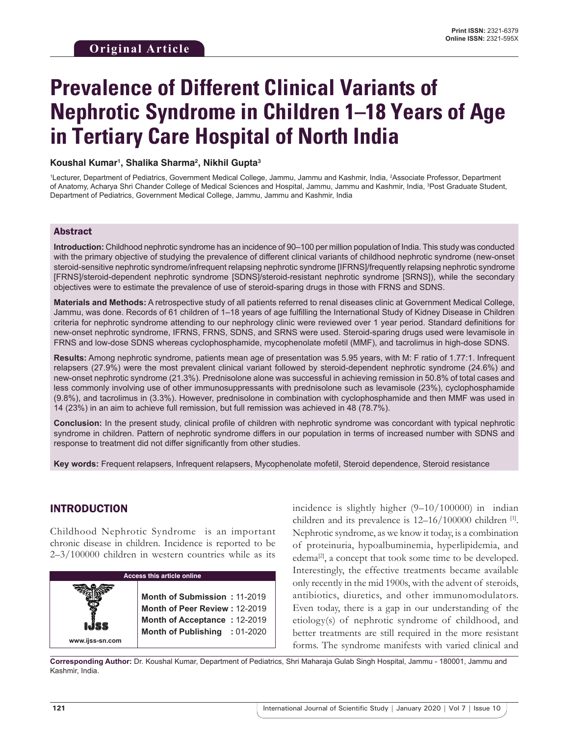# **Prevalence of Different Clinical Variants of Nephrotic Syndrome in Children 1–18 Years of Age in Tertiary Care Hospital of North India**

## **Koushal Kumar1 , Shalika Sharma2 , Nikhil Gupta3**

1 Lecturer, Department of Pediatrics, Government Medical College, Jammu, Jammu and Kashmir, India, 2 Associate Professor, Department of Anatomy, Acharya Shri Chander College of Medical Sciences and Hospital, Jammu, Jammu and Kashmir, India, 3 Post Graduate Student, Department of Pediatrics, Government Medical College, Jammu, Jammu and Kashmir, India

## Abstract

**Introduction:** Childhood nephrotic syndrome has an incidence of 90–100 per million population of India. This study was conducted with the primary objective of studying the prevalence of different clinical variants of childhood nephrotic syndrome (new-onset steroid-sensitive nephrotic syndrome/infrequent relapsing nephrotic syndrome [IFRNS]/frequently relapsing nephrotic syndrome [FRNS]/steroid-dependent nephrotic syndrome [SDNS]/steroid-resistant nephrotic syndrome [SRNS]), while the secondary objectives were to estimate the prevalence of use of steroid-sparing drugs in those with FRNS and SDNS.

**Materials and Methods:** A retrospective study of all patients referred to renal diseases clinic at Government Medical College, Jammu, was done. Records of 61 children of 1–18 years of age fulfilling the International Study of Kidney Disease in Children criteria for nephrotic syndrome attending to our nephrology clinic were reviewed over 1 year period. Standard definitions for new-onset nephrotic syndrome, IFRNS, FRNS, SDNS, and SRNS were used. Steroid-sparing drugs used were levamisole in FRNS and low-dose SDNS whereas cyclophosphamide, mycophenolate mofetil (MMF), and tacrolimus in high-dose SDNS.

**Results:** Among nephrotic syndrome, patients mean age of presentation was 5.95 years, with M: F ratio of 1.77:1. Infrequent relapsers (27.9%) were the most prevalent clinical variant followed by steroid-dependent nephrotic syndrome (24.6%) and new-onset nephrotic syndrome (21.3%). Prednisolone alone was successful in achieving remission in 50.8% of total cases and less commonly involving use of other immunosuppressants with prednisolone such as levamisole (23%), cyclophosphamide (9.8%), and tacrolimus in (3.3%). However, prednisolone in combination with cyclophosphamide and then MMF was used in 14 (23%) in an aim to achieve full remission, but full remission was achieved in 48 (78.7%).

**Conclusion:** In the present study, clinical profile of children with nephrotic syndrome was concordant with typical nephrotic syndrome in children. Pattern of nephrotic syndrome differs in our population in terms of increased number with SDNS and response to treatment did not differ significantly from other studies.

**Key words:** Frequent relapsers, Infrequent relapsers, Mycophenolate mofetil, Steroid dependence, Steroid resistance

# INTRODUCTION

Childhood Nephrotic Syndrome is an important chronic disease in children. Incidence is reported to be 2–3/100000 children in western countries while as its



incidence is slightly higher  $(9-10/100000)$  in indian children and its prevalence is  $12-16/100000$  children  $^{[1]}$ . Nephrotic syndrome, as we know it today, is a combination of proteinuria, hypoalbuminemia, hyperlipidemia, and edema<sup>[2]</sup>, a concept that took some time to be developed. Interestingly, the effective treatments became available only recently in the mid 1900s, with the advent of steroids, antibiotics, diuretics, and other immunomodulators. Even today, there is a gap in our understanding of the etiology(s) of nephrotic syndrome of childhood, and better treatments are still required in the more resistant forms. The syndrome manifests with varied clinical and

Corresponding Author: Dr. Koushal Kumar, Department of Pediatrics, Shri Maharaja Gulab Singh Hospital, Jammu - 180001, Jammu and Kashmir, India.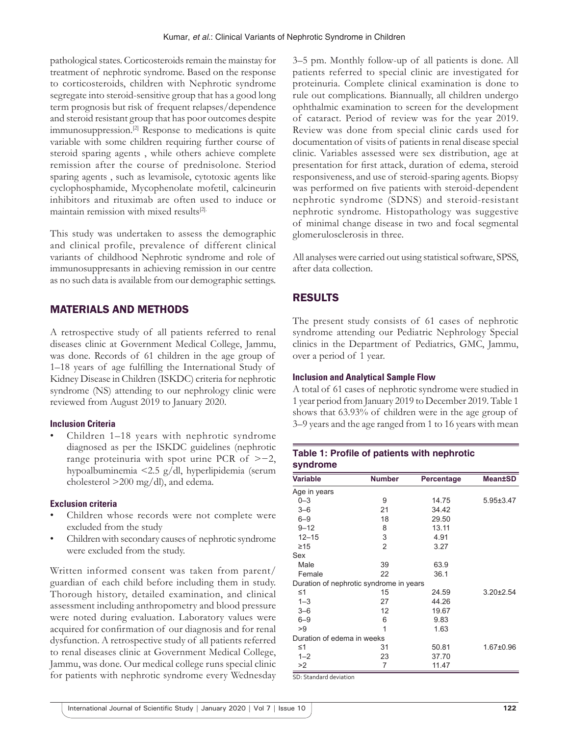pathological states. Corticosteroids remain the mainstay for treatment of nephrotic syndrome. Based on the response to corticosteroids, children with Nephrotic syndrome segregate into steroid-sensitive group that has a good long term prognosis but risk of frequent relapses/dependence and steroid resistant group that has poor outcomes despite immunosuppression.[2] Response to medications is quite variable with some children requiring further course of steroid sparing agents , while others achieve complete remission after the course of prednisolone. Steriod sparing agents , such as levamisole, cytotoxic agents like cyclophosphamide, Mycophenolate mofetil, calcineurin inhibitors and rituximab are often used to induce or maintain remission with mixed results<sup>[2].</sup>

This study was undertaken to assess the demographic and clinical profile, prevalence of different clinical variants of childhood Nephrotic syndrome and role of immunosuppresants in achieving remission in our centre as no such data is available from our demographic settings.

# MATERIALS AND METHODS

A retrospective study of all patients referred to renal diseases clinic at Government Medical College, Jammu, was done. Records of 61 children in the age group of 1–18 years of age fulfilling the International Study of Kidney Disease in Children (ISKDC) criteria for nephrotic syndrome (NS) attending to our nephrology clinic were reviewed from August 2019 to January 2020.

# **Inclusion Criteria**

• Children 1–18 years with nephrotic syndrome diagnosed as per the ISKDC guidelines (nephrotic range proteinuria with spot urine PCR of >−2, hypoalbuminemia <2.5 g/dl, hyperlipidemia (serum cholesterol >200 mg/dl), and edema.

# **Exclusion criteria**

- Children whose records were not complete were excluded from the study
- Children with secondary causes of nephrotic syndrome were excluded from the study.

Written informed consent was taken from parent/ guardian of each child before including them in study. Thorough history, detailed examination, and clinical assessment including anthropometry and blood pressure were noted during evaluation. Laboratory values were acquired for confirmation of our diagnosis and for renal dysfunction. A retrospective study of all patients referred to renal diseases clinic at Government Medical College, Jammu, was done. Our medical college runs special clinic for patients with nephrotic syndrome every Wednesday 3–5 pm. Monthly follow-up of all patients is done. All patients referred to special clinic are investigated for proteinuria. Complete clinical examination is done to rule out complications. Biannually, all children undergo ophthalmic examination to screen for the development of cataract. Period of review was for the year 2019. Review was done from special clinic cards used for documentation of visits of patients in renal disease special clinic. Variables assessed were sex distribution, age at presentation for first attack, duration of edema, steroid responsiveness, and use of steroid-sparing agents. Biopsy was performed on five patients with steroid-dependent nephrotic syndrome (SDNS) and steroid-resistant nephrotic syndrome. Histopathology was suggestive of minimal change disease in two and focal segmental glomerulosclerosis in three.

All analyses were carried out using statistical software, SPSS, after data collection.

# RESULTS

The present study consists of 61 cases of nephrotic syndrome attending our Pediatric Nephrology Special clinics in the Department of Pediatrics, GMC, Jammu, over a period of 1 year.

# **Inclusion and Analytical Sample Flow**

A total of 61 cases of nephrotic syndrome were studied in 1 year period from January 2019 to December 2019. Table 1 shows that 63.93% of children were in the age group of 3–9 years and the age ranged from 1 to 16 years with mean

**Table 1: Profile of patients with nephrotic** 

| syndrome                                |                |            |                 |  |  |
|-----------------------------------------|----------------|------------|-----------------|--|--|
| <b>Variable</b>                         | <b>Number</b>  | Percentage | <b>Mean±SD</b>  |  |  |
| Age in years                            |                |            |                 |  |  |
| $0 - 3$                                 | 9              | 14.75      | $5.95 \pm 3.47$ |  |  |
| $3 - 6$                                 | 21             | 34.42      |                 |  |  |
| $6 - 9$                                 | 18             | 29.50      |                 |  |  |
| $9 - 12$                                | 8              | 13.11      |                 |  |  |
| $12 - 15$                               | 3              | 4.91       |                 |  |  |
| $\geq 15$                               | $\overline{2}$ | 3.27       |                 |  |  |
| Sex                                     |                |            |                 |  |  |
| Male                                    | 39             | 63.9       |                 |  |  |
| Female                                  | 22             | 36.1       |                 |  |  |
| Duration of nephrotic syndrome in years |                |            |                 |  |  |
| $\leq 1$                                | 15             | 24.59      | $3.20 \pm 2.54$ |  |  |
| $1 - 3$                                 | 27             | 44.26      |                 |  |  |
| $3 - 6$                                 | 12             | 19.67      |                 |  |  |
| $6 - 9$                                 | 6              | 9.83       |                 |  |  |
| >9                                      | 1              | 1.63       |                 |  |  |
| Duration of edema in weeks              |                |            |                 |  |  |
| ≤1                                      | 31             | 50.81      | $1.67 \pm 0.96$ |  |  |
| $1 - 2$                                 | 23             | 37.70      |                 |  |  |
| >2                                      | 7              | 11.47      |                 |  |  |
| SD: Standard deviation                  |                |            |                 |  |  |

International Journal of Scientific Study | January 2020 | Vol 7 | Issue 10 **122**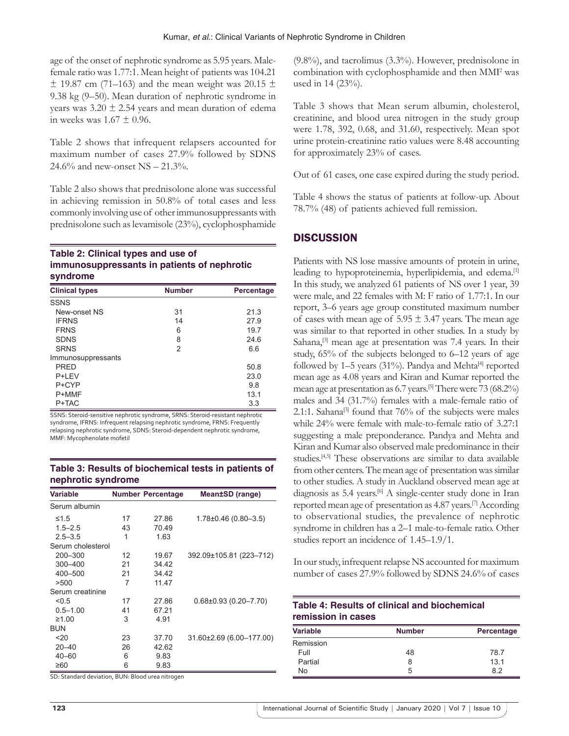age of the onset of nephrotic syndrome as 5.95 years. Malefemale ratio was 1.77:1. Mean height of patients was 104.21  $\pm$  19.87 cm (71–163) and the mean weight was 20.15  $\pm$ 9.38 kg (9–50). Mean duration of nephrotic syndrome in years was  $3.20 \pm 2.54$  years and mean duration of edema in weeks was  $1.67 \pm 0.96$ .

Table 2 shows that infrequent relapsers accounted for maximum number of cases 27.9% followed by SDNS 24.6% and new-onset NS – 21.3%.

Table 2 also shows that prednisolone alone was successful in achieving remission in 50.8% of total cases and less commonly involving use of other immunosuppressants with prednisolone such as levamisole (23%), cyclophosphamide

#### **Table 2: Clinical types and use of immunosuppressants in patients of nephrotic syndrome**

| <b>Clinical types</b> | <b>Number</b> | Percentage |
|-----------------------|---------------|------------|
| <b>SSNS</b>           |               |            |
| New-onset NS          | 31            | 21.3       |
| <b>IFRNS</b>          | 14            | 27.9       |
| <b>FRNS</b>           | 6             | 19.7       |
| <b>SDNS</b>           | 8             | 24.6       |
| <b>SRNS</b>           | 2             | 6.6        |
| Immunosuppressants    |               |            |
| PRED                  |               | 50.8       |
| P+LEV                 |               | 23.0       |
| P+CYP                 |               | 9.8        |
| P+MMF                 |               | 13.1       |
| P+TAC                 |               | 3.3        |

SSNS: Steroid-sensitive nephrotic syndrome, SRNS: Steroid-resistant nephrotic syndrome, IFRNS: Infrequent relapsing nephrotic syndrome, FRNS: Frequently relapsing nephrotic syndrome, SDNS: Steroid-dependent nephrotic syndrome, MMF: Mycophenolate mofetil

#### **Table 3: Results of biochemical tests in patients of nephrotic syndrome**

| <b>Variable</b>   |    | <b>Number Percentage</b> | Mean±SD (range)             |
|-------------------|----|--------------------------|-----------------------------|
| Serum albumin     |    |                          |                             |
| $\leq 1.5$        | 17 | 27.86                    | 1.78±0.46 (0.80–3.5)        |
| $1.5 - 2.5$       | 43 | 70.49                    |                             |
| $2.5 - 3.5$       | 1  | 1.63                     |                             |
| Serum cholesterol |    |                          |                             |
| $200 - 300$       | 12 | 19.67                    | 392.09±105.81 (223-712)     |
| 300-400           | 21 | 34.42                    |                             |
| 400-500           | 21 | 34.42                    |                             |
| >500              | 7  | 11.47                    |                             |
| Serum creatinine  |    |                          |                             |
| < 0.5             | 17 | 27.86                    | $0.68 \pm 0.93$ (0.20-7.70) |
| $0.5 - 1.00$      | 41 | 67.21                    |                             |
| ≥1.00             | 3  | 4.91                     |                             |
| <b>BUN</b>        |    |                          |                             |
| 20                | 23 | 37.70                    | 31.60±2.69 (6.00-177.00)    |
| $20 - 40$         | 26 | 42.62                    |                             |
| $40 - 60$         | 6  | 9.83                     |                             |
| ≥60               | 6  | 9.83                     |                             |

SD: Standard deviation, BUN: Blood urea nitrogen

(9.8%), and tacrolimus (3.3%). However, prednisolone in combination with cyclophosphamide and then MMF was used in 14 (23%).

Table 3 shows that Mean serum albumin, cholesterol, creatinine, and blood urea nitrogen in the study group were 1.78, 392, 0.68, and 31.60, respectively. Mean spot urine protein-creatinine ratio values were 8.48 accounting for approximately 23% of cases.

Out of 61 cases, one case expired during the study period.

Table 4 shows the status of patients at follow-up. About 78.7% (48) of patients achieved full remission.

## **DISCUSSION**

Patients with NS lose massive amounts of protein in urine, leading to hypoproteinemia, hyperlipidemia, and edema.<sup>[1]</sup> In this study, we analyzed 61 patients of NS over 1 year, 39 were male, and 22 females with M: F ratio of 1.77:1. In our report, 3–6 years age group constituted maximum number of cases with mean age of  $5.95 \pm 3.47$  years. The mean age was similar to that reported in other studies. In a study by Sahana, $[3]$  mean age at presentation was 7.4 years. In their study, 65% of the subjects belonged to 6–12 years of age followed by 1–5 years (31%). Pandya and Mehta<sup>[4]</sup> reported mean age as 4.08 years and Kiran and Kumar reported the mean age at presentation as 6.7 years.[5] There were 73 (68.2%) males and 34 (31.7%) females with a male-female ratio of 2.1:1. Sahana<sup>[3]</sup> found that  $76\%$  of the subjects were males while 24% were female with male-to-female ratio of 3.27:1 suggesting a male preponderance. Pandya and Mehta and Kiran and Kumar also observed male predominance in their studies.<sup>[4,5]</sup> These observations are similar to data available from other centers. The mean age of presentation was similar to other studies. A study in Auckland observed mean age at diagnosis as 5.4 years.<sup>[6]</sup> A single-center study done in Iran reported mean age of presentation as 4.87 years.[7] According to observational studies, the prevalence of nephrotic syndrome in children has a 2–1 male-to-female ratio. Other studies report an incidence of 1.45–1.9/1.

In our study, infrequent relapse NS accounted for maximum number of cases 27.9% followed by SDNS 24.6% of cases

| Table 4: Results of clinical and biochemical |
|----------------------------------------------|
| remission in cases                           |

| <b>Variable</b> | <b>Number</b> | Percentage |  |
|-----------------|---------------|------------|--|
| Remission       |               |            |  |
| Full            | 48            | 78.7       |  |
| Partial         | 8             | 13.1       |  |
| No              | 5             | 82         |  |